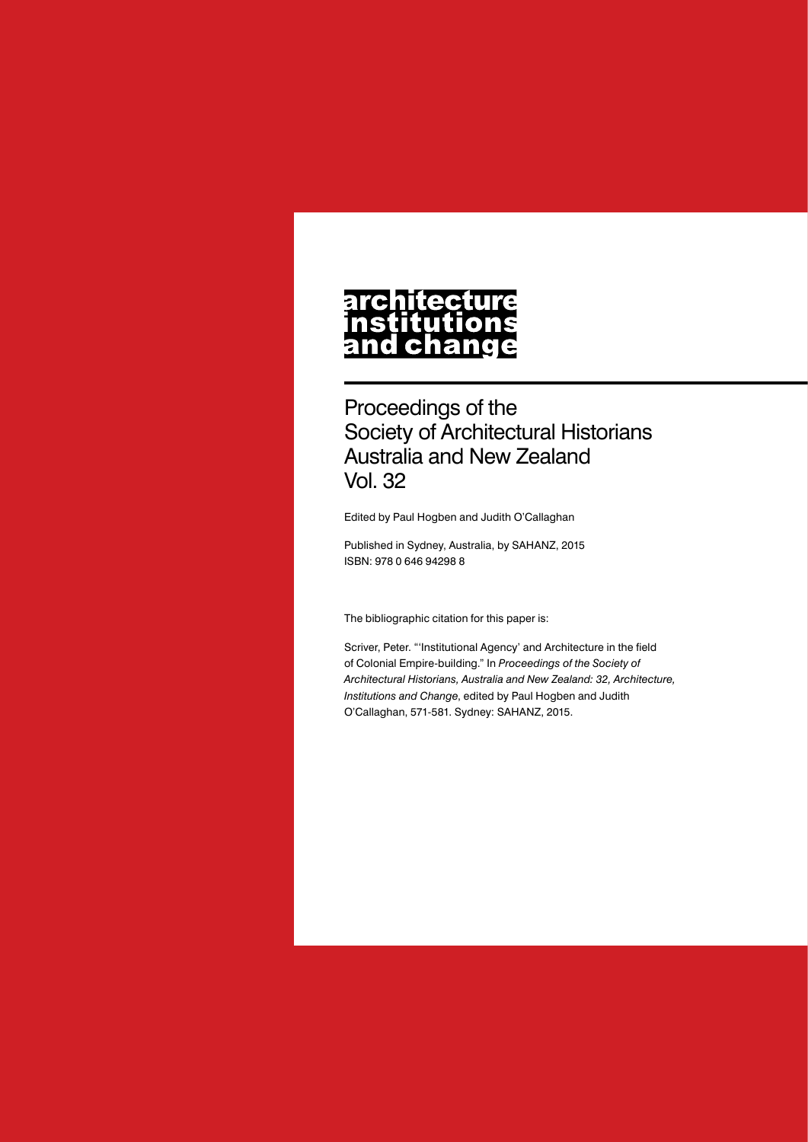# **architecture** nstitutions<br>and change

Proceedings of the Society of Architectural Historians Australia and New Zealand Vol. 32

Edited by Paul Hogben and Judith O'Callaghan

Published in Sydney, Australia, by SAHANZ, 2015 ISBN: 978 0 646 94298 8

The bibliographic citation for this paper is:

Scriver, Peter. "'Institutional Agency' and Architecture in the field of Colonial Empire-building." In *Proceedings of the Society of Architectural Historians, Australia and New Zealand: 32, Architecture, Institutions and Change*, edited by Paul Hogben and Judith O'Callaghan, 571-581. Sydney: SAHANZ, 2015.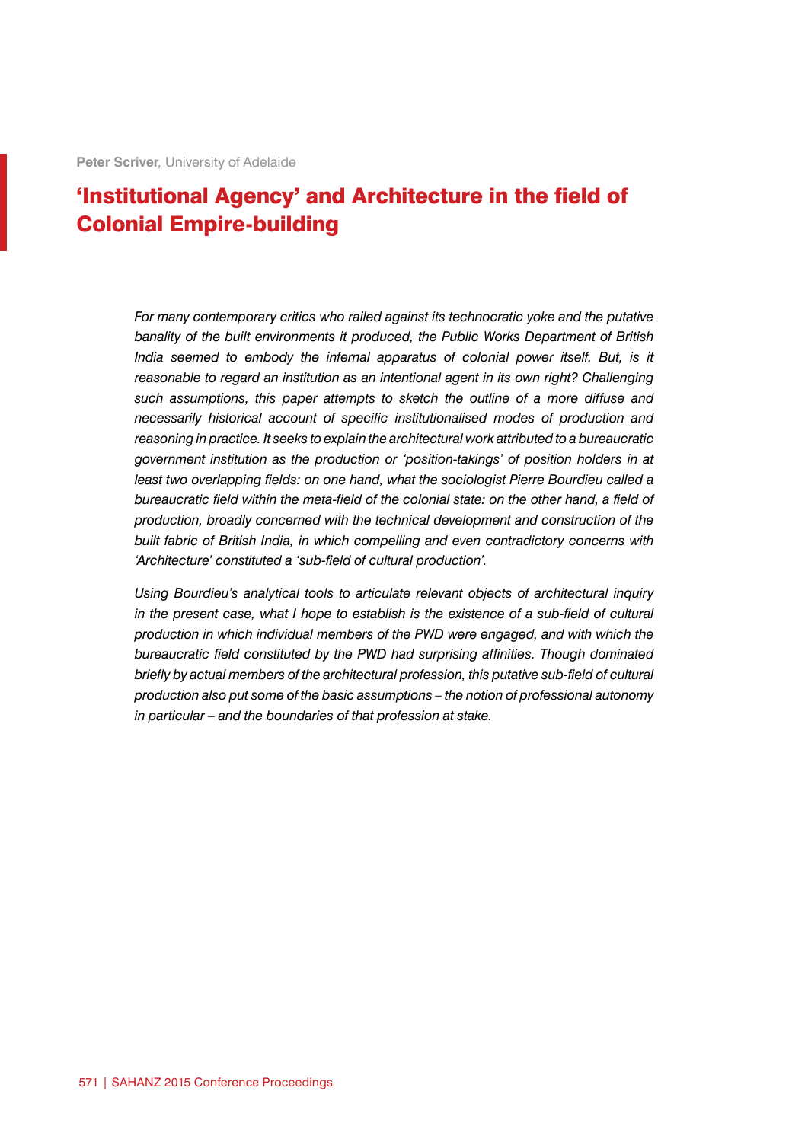## 'Institutional Agency' and Architecture in the field of Colonial Empire-building

*For many contemporary critics who railed against its technocratic yoke and the putative banality of the built environments it produced, the Public Works Department of British*  India seemed to embody the infernal apparatus of colonial power itself. But, is it *reasonable to regard an institution as an intentional agent in its own right? Challenging such assumptions, this paper attempts to sketch the outline of a more diffuse and necessarily historical account of specific institutionalised modes of production and reasoning in practice. It seeks to explain the architectural work attributed to a bureaucratic government institution as the production or 'position-takings' of position holders in at least two overlapping fields: on one hand, what the sociologist Pierre Bourdieu called a bureaucratic field within the meta-field of the colonial state: on the other hand, a field of production, broadly concerned with the technical development and construction of the built fabric of British India, in which compelling and even contradictory concerns with 'Architecture' constituted a 'sub-field of cultural production'.*

*Using Bourdieu's analytical tools to articulate relevant objects of architectural inquiry in the present case, what I hope to establish is the existence of a sub-field of cultural production in which individual members of the PWD were engaged, and with which the bureaucratic field constituted by the PWD had surprising affinities. Though dominated briefly by actual members of the architectural profession, this putative sub-field of cultural production also put some of the basic assumptions – the notion of professional autonomy in particular – and the boundaries of that profession at stake.*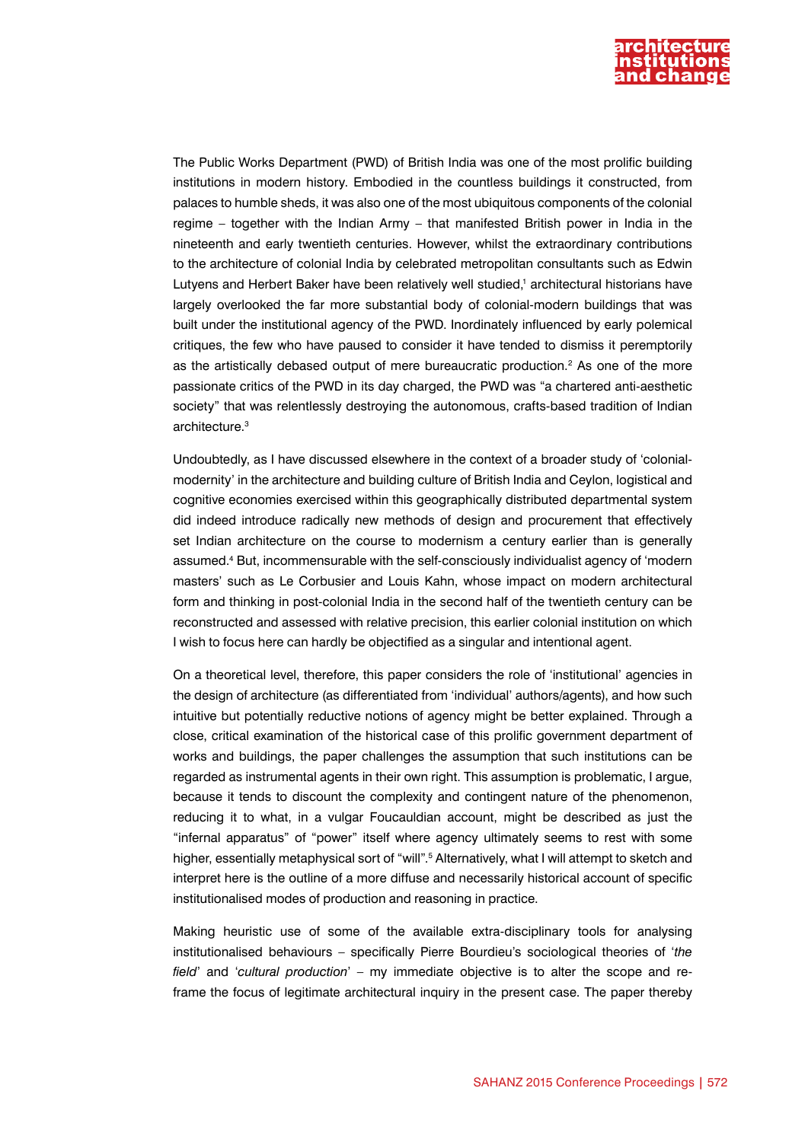

The Public Works Department (PWD) of British India was one of the most prolific building institutions in modern history. Embodied in the countless buildings it constructed, from palaces to humble sheds, it was also one of the most ubiquitous components of the colonial regime – together with the Indian Army – that manifested British power in India in the nineteenth and early twentieth centuries. However, whilst the extraordinary contributions to the architecture of colonial India by celebrated metropolitan consultants such as Edwin Lutyens and Herbert Baker have been relatively well studied,1 architectural historians have largely overlooked the far more substantial body of colonial-modern buildings that was built under the institutional agency of the PWD. Inordinately influenced by early polemical critiques, the few who have paused to consider it have tended to dismiss it peremptorily as the artistically debased output of mere bureaucratic production.<sup>2</sup> As one of the more passionate critics of the PWD in its day charged, the PWD was "a chartered anti-aesthetic society" that was relentlessly destroying the autonomous, crafts-based tradition of Indian architecture<sup>3</sup>

Undoubtedly, as I have discussed elsewhere in the context of a broader study of 'colonialmodernity' in the architecture and building culture of British India and Ceylon, logistical and cognitive economies exercised within this geographically distributed departmental system did indeed introduce radically new methods of design and procurement that effectively set Indian architecture on the course to modernism a century earlier than is generally assumed.4 But, incommensurable with the self-consciously individualist agency of 'modern masters' such as Le Corbusier and Louis Kahn, whose impact on modern architectural form and thinking in post-colonial India in the second half of the twentieth century can be reconstructed and assessed with relative precision, this earlier colonial institution on which I wish to focus here can hardly be objectified as a singular and intentional agent.

On a theoretical level, therefore, this paper considers the role of 'institutional' agencies in the design of architecture (as differentiated from 'individual' authors/agents), and how such intuitive but potentially reductive notions of agency might be better explained. Through a close, critical examination of the historical case of this prolific government department of works and buildings, the paper challenges the assumption that such institutions can be regarded as instrumental agents in their own right. This assumption is problematic, I argue, because it tends to discount the complexity and contingent nature of the phenomenon, reducing it to what, in a vulgar Foucauldian account, might be described as just the "infernal apparatus" of "power" itself where agency ultimately seems to rest with some higher, essentially metaphysical sort of "will".<sup>5</sup> Alternatively, what I will attempt to sketch and interpret here is the outline of a more diffuse and necessarily historical account of specific institutionalised modes of production and reasoning in practice.

Making heuristic use of some of the available extra-disciplinary tools for analysing institutionalised behaviours – specifically Pierre Bourdieu's sociological theories of '*the field*' and '*cultural production*' – my immediate objective is to alter the scope and reframe the focus of legitimate architectural inquiry in the present case. The paper thereby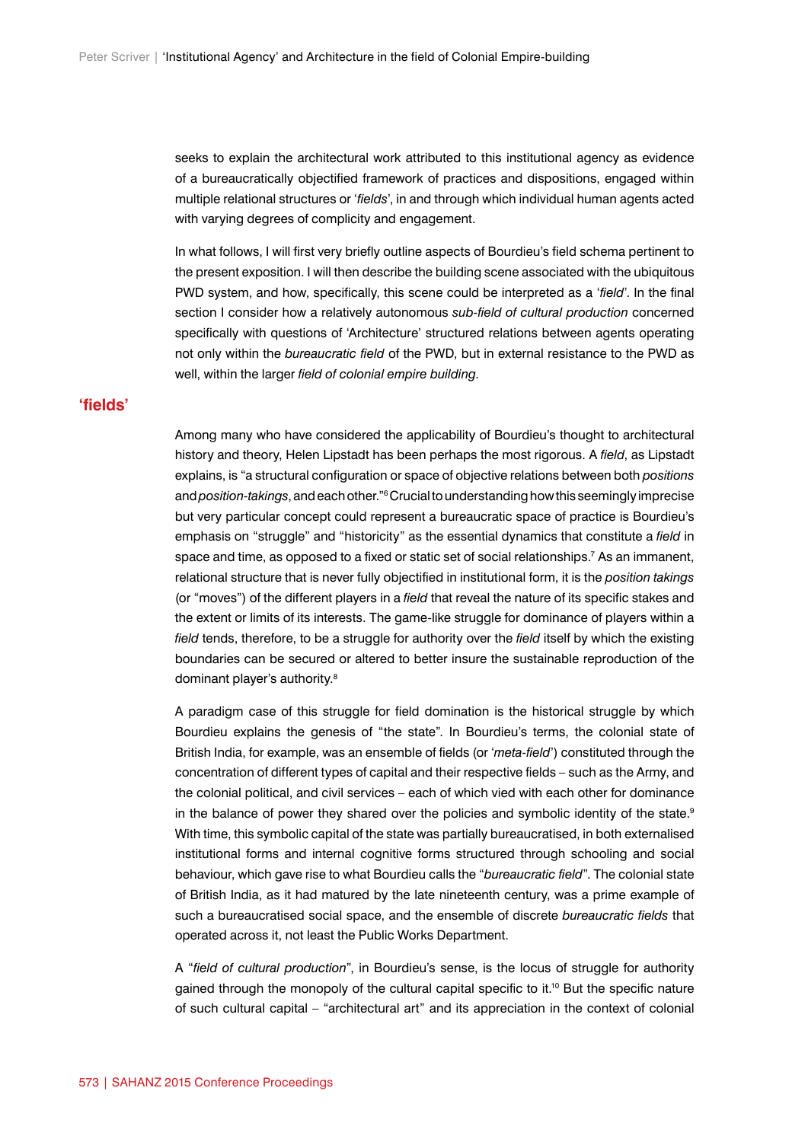seeks to explain the architectural work attributed to this institutional agency as evidence of a bureaucratically objectified framework of practices and dispositions, engaged within multiple relational structures or '*fields*', in and through which individual human agents acted with varying degrees of complicity and engagement.

In what follows, I will first very briefly outline aspects of Bourdieu's field schema pertinent to the present exposition. I will then describe the building scene associated with the ubiquitous PWD system, and how, specifically, this scene could be interpreted as a '*field*'. In the final section I consider how a relatively autonomous *sub-field of cultural production* concerned specifically with questions of 'Architecture' structured relations between agents operating not only within the *bureaucratic field* of the PWD, but in external resistance to the PWD as well, within the larger *field of colonial empire building*.

#### **'fields'**

Among many who have considered the applicability of Bourdieu's thought to architectural history and theory, Helen Lipstadt has been perhaps the most rigorous. A *field*, as Lipstadt explains, is "a structural configuration or space of objective relations between both *positions* and *position-takings*, and each other."6 Crucial to understanding how this seemingly imprecise but very particular concept could represent a bureaucratic space of practice is Bourdieu's emphasis on "struggle" and "historicity" as the essential dynamics that constitute a *field* in space and time, as opposed to a fixed or static set of social relationships.7 As an immanent, relational structure that is never fully objectified in institutional form, it is the *position takings* (or "moves") of the different players in a *field* that reveal the nature of its specific stakes and the extent or limits of its interests. The game-like struggle for dominance of players within a field tends, therefore, to be a struggle for authority over the *field* itself by which the existing boundaries can be secured or altered to better insure the sustainable reproduction of the dominant player's authority.<sup>8</sup>

A paradigm case of this struggle for field domination is the historical struggle by which Bourdieu explains the genesis of "the state". In Bourdieu's terms, the colonial state of British India, for example, was an ensemble of fields (or '*meta-field*') constituted through the concentration of different types of capital and their respective fields – such as the Army, and the colonial political, and civil services – each of which vied with each other for dominance in the balance of power they shared over the policies and symbolic identity of the state.<sup>9</sup> With time, this symbolic capital of the state was partially bureaucratised, in both externalised institutional forms and internal cognitive forms structured through schooling and social behaviour, which gave rise to what Bourdieu calls the "*bureaucratic field*". The colonial state of British India, as it had matured by the late nineteenth century, was a prime example of such a bureaucratised social space, and the ensemble of discrete *bureaucratic fields* that operated across it, not least the Public Works Department.

A "*field of cultural production*", in Bourdieu's sense, is the locus of struggle for authority gained through the monopoly of the cultural capital specific to it.10 But the specific nature of such cultural capital – "architectural art" and its appreciation in the context of colonial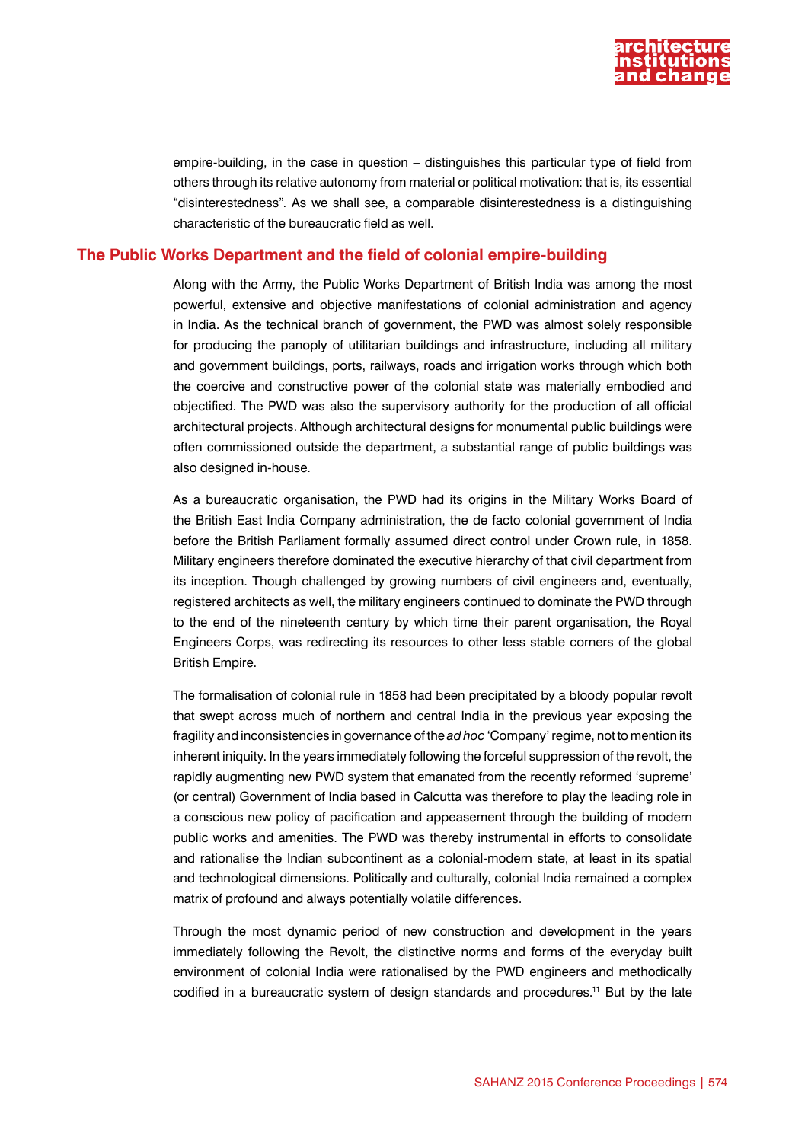

empire-building, in the case in question – distinguishes this particular type of field from others through its relative autonomy from material or political motivation: that is, its essential "disinterestedness". As we shall see, a comparable disinterestedness is a distinguishing characteristic of the bureaucratic field as well.

#### **The Public Works Department and the field of colonial empire-building**

Along with the Army, the Public Works Department of British India was among the most powerful, extensive and objective manifestations of colonial administration and agency in India. As the technical branch of government, the PWD was almost solely responsible for producing the panoply of utilitarian buildings and infrastructure, including all military and government buildings, ports, railways, roads and irrigation works through which both the coercive and constructive power of the colonial state was materially embodied and objectified. The PWD was also the supervisory authority for the production of all official architectural projects. Although architectural designs for monumental public buildings were often commissioned outside the department, a substantial range of public buildings was also designed in-house.

As a bureaucratic organisation, the PWD had its origins in the Military Works Board of the British East India Company administration, the de facto colonial government of India before the British Parliament formally assumed direct control under Crown rule, in 1858. Military engineers therefore dominated the executive hierarchy of that civil department from its inception. Though challenged by growing numbers of civil engineers and, eventually, registered architects as well, the military engineers continued to dominate the PWD through to the end of the nineteenth century by which time their parent organisation, the Royal Engineers Corps, was redirecting its resources to other less stable corners of the global British Empire.

The formalisation of colonial rule in 1858 had been precipitated by a bloody popular revolt that swept across much of northern and central India in the previous year exposing the fragility and inconsistencies in governance of the *ad hoc* 'Company' regime, not to mention its inherent iniquity. In the years immediately following the forceful suppression of the revolt, the rapidly augmenting new PWD system that emanated from the recently reformed 'supreme' (or central) Government of India based in Calcutta was therefore to play the leading role in a conscious new policy of pacification and appeasement through the building of modern public works and amenities. The PWD was thereby instrumental in efforts to consolidate and rationalise the Indian subcontinent as a colonial-modern state, at least in its spatial and technological dimensions. Politically and culturally, colonial India remained a complex matrix of profound and always potentially volatile differences.

Through the most dynamic period of new construction and development in the years immediately following the Revolt, the distinctive norms and forms of the everyday built environment of colonial India were rationalised by the PWD engineers and methodically codified in a bureaucratic system of design standards and procedures.11 But by the late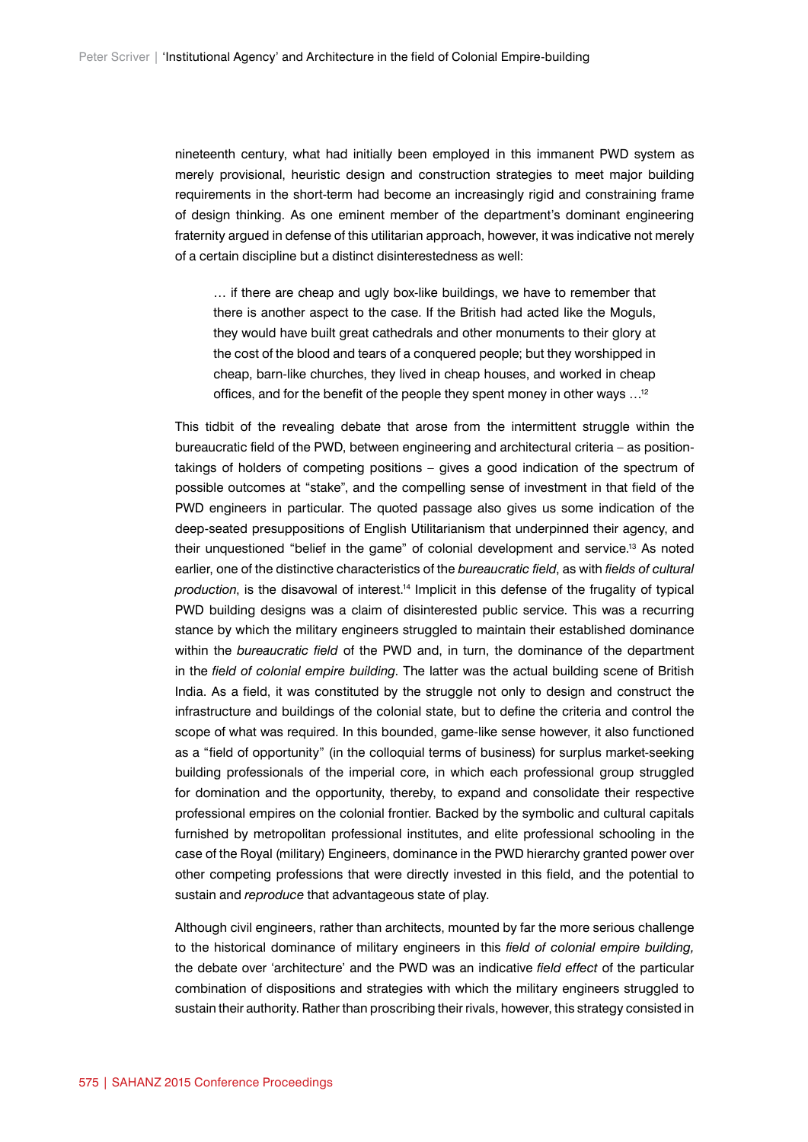nineteenth century, what had initially been employed in this immanent PWD system as merely provisional, heuristic design and construction strategies to meet major building requirements in the short-term had become an increasingly rigid and constraining frame of design thinking. As one eminent member of the department's dominant engineering fraternity argued in defense of this utilitarian approach, however, it was indicative not merely of a certain discipline but a distinct disinterestedness as well:

… if there are cheap and ugly box-like buildings, we have to remember that there is another aspect to the case. If the British had acted like the Moguls, they would have built great cathedrals and other monuments to their glory at the cost of the blood and tears of a conquered people; but they worshipped in cheap, barn-like churches, they lived in cheap houses, and worked in cheap offices, and for the benefit of the people they spent money in other ways …12

This tidbit of the revealing debate that arose from the intermittent struggle within the bureaucratic field of the PWD, between engineering and architectural criteria – as positiontakings of holders of competing positions – gives a good indication of the spectrum of possible outcomes at "stake", and the compelling sense of investment in that field of the PWD engineers in particular. The quoted passage also gives us some indication of the deep-seated presuppositions of English Utilitarianism that underpinned their agency, and their unquestioned "belief in the game" of colonial development and service.13 As noted earlier, one of the distinctive characteristics of the *bureaucratic field*, as with *fields of cultural production*, is the disavowal of interest.14 Implicit in this defense of the frugality of typical PWD building designs was a claim of disinterested public service. This was a recurring stance by which the military engineers struggled to maintain their established dominance within the *bureaucratic field* of the PWD and, in turn, the dominance of the department in the *field of colonial empire building*. The latter was the actual building scene of British India. As a field, it was constituted by the struggle not only to design and construct the infrastructure and buildings of the colonial state, but to define the criteria and control the scope of what was required. In this bounded, game-like sense however, it also functioned as a "field of opportunity" (in the colloquial terms of business) for surplus market-seeking building professionals of the imperial core, in which each professional group struggled for domination and the opportunity, thereby, to expand and consolidate their respective professional empires on the colonial frontier. Backed by the symbolic and cultural capitals furnished by metropolitan professional institutes, and elite professional schooling in the case of the Royal (military) Engineers, dominance in the PWD hierarchy granted power over other competing professions that were directly invested in this field, and the potential to sustain and *reproduce* that advantageous state of play.

Although civil engineers, rather than architects, mounted by far the more serious challenge to the historical dominance of military engineers in this *field of colonial empire building,* the debate over 'architecture' and the PWD was an indicative *field effect* of the particular combination of dispositions and strategies with which the military engineers struggled to sustain their authority. Rather than proscribing their rivals, however, this strategy consisted in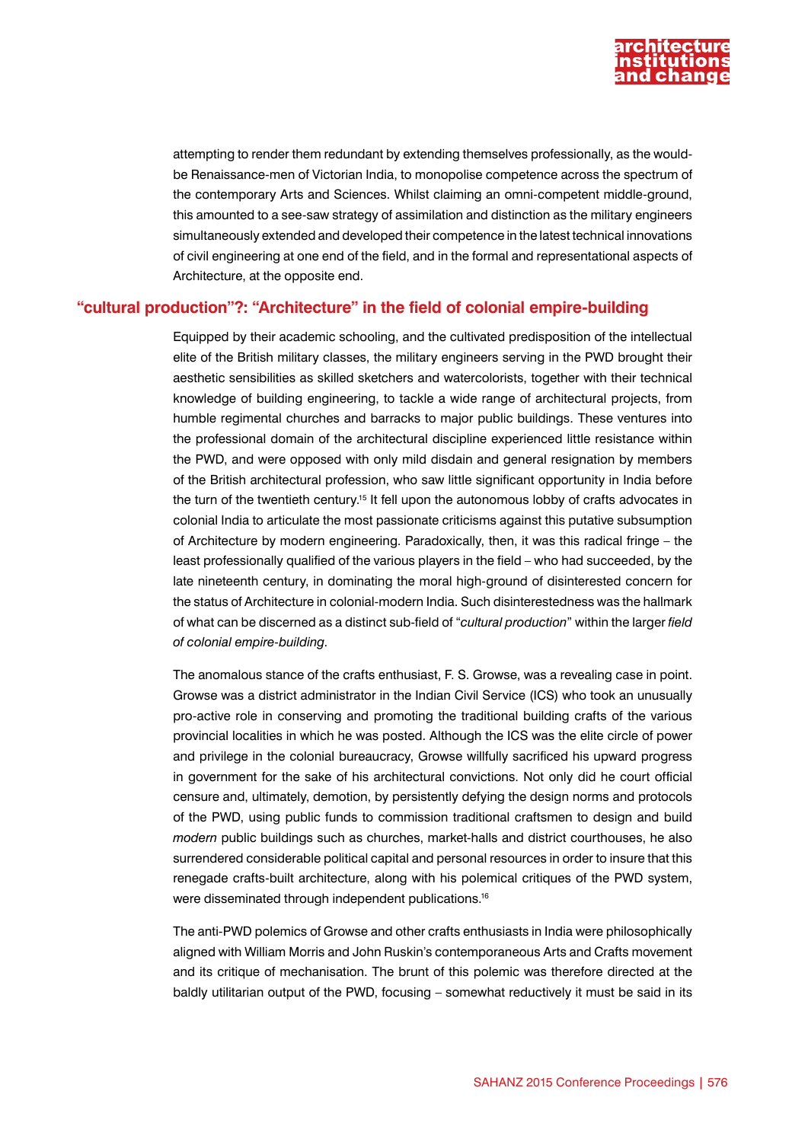

attempting to render them redundant by extending themselves professionally, as the wouldbe Renaissance-men of Victorian India, to monopolise competence across the spectrum of the contemporary Arts and Sciences. Whilst claiming an omni-competent middle-ground, this amounted to a see-saw strategy of assimilation and distinction as the military engineers simultaneously extended and developed their competence in the latest technical innovations of civil engineering at one end of the field, and in the formal and representational aspects of Architecture, at the opposite end.

### **"cultural production"?: "Architecture" in the field of colonial empire-building**

Equipped by their academic schooling, and the cultivated predisposition of the intellectual elite of the British military classes, the military engineers serving in the PWD brought their aesthetic sensibilities as skilled sketchers and watercolorists, together with their technical knowledge of building engineering, to tackle a wide range of architectural projects, from humble regimental churches and barracks to major public buildings. These ventures into the professional domain of the architectural discipline experienced little resistance within the PWD, and were opposed with only mild disdain and general resignation by members of the British architectural profession, who saw little significant opportunity in India before the turn of the twentieth century.<sup>15</sup> It fell upon the autonomous lobby of crafts advocates in colonial India to articulate the most passionate criticisms against this putative subsumption of Architecture by modern engineering. Paradoxically, then, it was this radical fringe – the least professionally qualified of the various players in the field – who had succeeded, by the late nineteenth century, in dominating the moral high-ground of disinterested concern for the status of Architecture in colonial-modern India. Such disinterestedness was the hallmark of what can be discerned as a distinct sub-field of "*cultural production*" within the larger *field of colonial empire-building*.

The anomalous stance of the crafts enthusiast, F. S. Growse, was a revealing case in point. Growse was a district administrator in the Indian Civil Service (ICS) who took an unusually pro-active role in conserving and promoting the traditional building crafts of the various provincial localities in which he was posted. Although the ICS was the elite circle of power and privilege in the colonial bureaucracy, Growse willfully sacrificed his upward progress in government for the sake of his architectural convictions. Not only did he court official censure and, ultimately, demotion, by persistently defying the design norms and protocols of the PWD, using public funds to commission traditional craftsmen to design and build *modern* public buildings such as churches, market-halls and district courthouses, he also surrendered considerable political capital and personal resources in order to insure that this renegade crafts-built architecture, along with his polemical critiques of the PWD system, were disseminated through independent publications.<sup>16</sup>

The anti-PWD polemics of Growse and other crafts enthusiasts in India were philosophically aligned with William Morris and John Ruskin's contemporaneous Arts and Crafts movement and its critique of mechanisation. The brunt of this polemic was therefore directed at the baldly utilitarian output of the PWD, focusing – somewhat reductively it must be said in its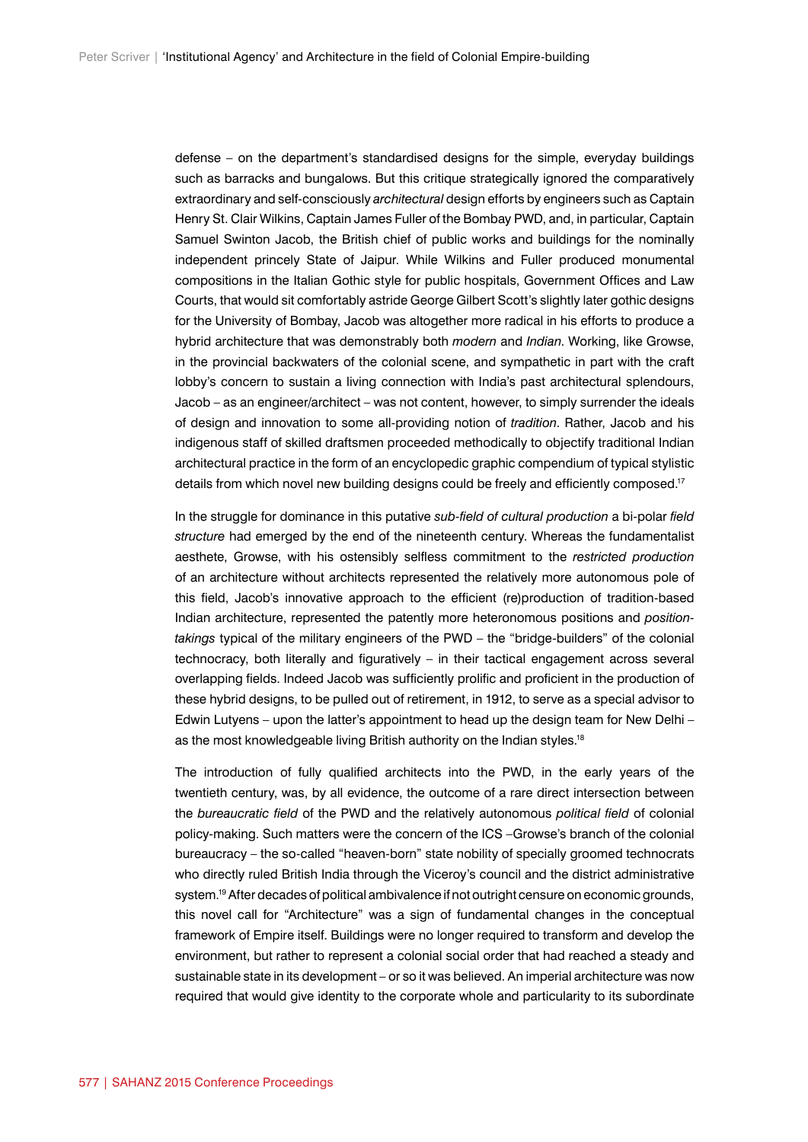defense – on the department's standardised designs for the simple, everyday buildings such as barracks and bungalows. But this critique strategically ignored the comparatively extraordinary and self-consciously *architectural* design efforts by engineers such as Captain Henry St. Clair Wilkins, Captain James Fuller of the Bombay PWD, and, in particular, Captain Samuel Swinton Jacob, the British chief of public works and buildings for the nominally independent princely State of Jaipur. While Wilkins and Fuller produced monumental compositions in the Italian Gothic style for public hospitals, Government Offices and Law Courts, that would sit comfortably astride George Gilbert Scott's slightly later gothic designs for the University of Bombay, Jacob was altogether more radical in his efforts to produce a hybrid architecture that was demonstrably both *modern* and *Indian*. Working, like Growse, in the provincial backwaters of the colonial scene, and sympathetic in part with the craft lobby's concern to sustain a living connection with India's past architectural splendours, Jacob – as an engineer/architect – was not content, however, to simply surrender the ideals of design and innovation to some all-providing notion of *tradition*. Rather, Jacob and his indigenous staff of skilled draftsmen proceeded methodically to objectify traditional Indian architectural practice in the form of an encyclopedic graphic compendium of typical stylistic details from which novel new building designs could be freely and efficiently composed.17

In the struggle for dominance in this putative *sub-field of cultural production* a bi-polar *field structure* had emerged by the end of the nineteenth century. Whereas the fundamentalist aesthete, Growse, with his ostensibly selfless commitment to the *restricted production* of an architecture without architects represented the relatively more autonomous pole of this field, Jacob's innovative approach to the efficient (re)production of tradition-based Indian architecture, represented the patently more heteronomous positions and *positiontakings* typical of the military engineers of the PWD – the "bridge-builders" of the colonial technocracy, both literally and figuratively – in their tactical engagement across several overlapping fields. Indeed Jacob was sufficiently prolific and proficient in the production of these hybrid designs, to be pulled out of retirement, in 1912, to serve as a special advisor to Edwin Lutyens – upon the latter's appointment to head up the design team for New Delhi – as the most knowledgeable living British authority on the Indian styles.<sup>18</sup>

The introduction of fully qualified architects into the PWD, in the early years of the twentieth century, was, by all evidence, the outcome of a rare direct intersection between the *bureaucratic field* of the PWD and the relatively autonomous *political field* of colonial policy-making. Such matters were the concern of the ICS –Growse's branch of the colonial bureaucracy – the so-called "heaven-born" state nobility of specially groomed technocrats who directly ruled British India through the Viceroy's council and the district administrative system.<sup>19</sup> After decades of political ambivalence if not outright censure on economic grounds, this novel call for "Architecture" was a sign of fundamental changes in the conceptual framework of Empire itself. Buildings were no longer required to transform and develop the environment, but rather to represent a colonial social order that had reached a steady and sustainable state in its development – or so it was believed. An imperial architecture was now required that would give identity to the corporate whole and particularity to its subordinate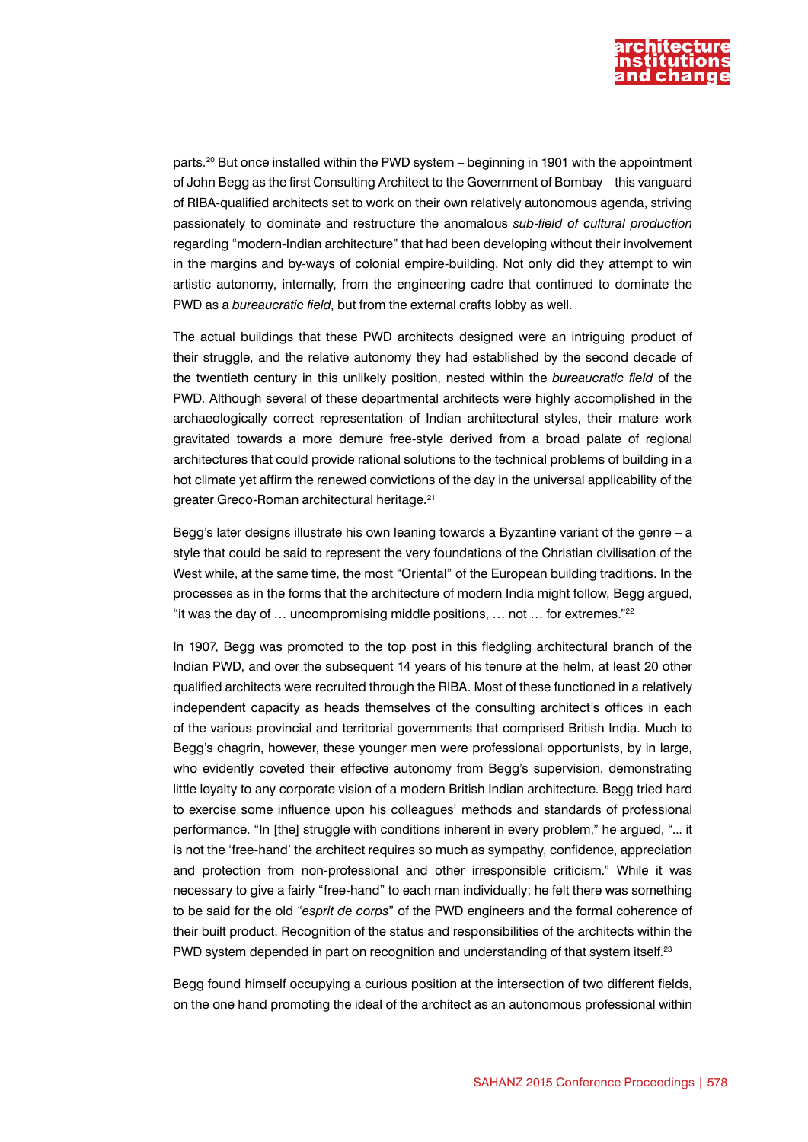

parts.20 But once installed within the PWD system – beginning in 1901 with the appointment of John Begg as the first Consulting Architect to the Government of Bombay – this vanguard of RIBA-qualified architects set to work on their own relatively autonomous agenda, striving passionately to dominate and restructure the anomalous *sub-field of cultural production* regarding "modern-Indian architecture" that had been developing without their involvement in the margins and by-ways of colonial empire-building. Not only did they attempt to win artistic autonomy, internally, from the engineering cadre that continued to dominate the PWD as a *bureaucratic field*, but from the external crafts lobby as well.

The actual buildings that these PWD architects designed were an intriguing product of their struggle, and the relative autonomy they had established by the second decade of the twentieth century in this unlikely position, nested within the *bureaucratic field* of the PWD. Although several of these departmental architects were highly accomplished in the archaeologically correct representation of Indian architectural styles, their mature work gravitated towards a more demure free-style derived from a broad palate of regional architectures that could provide rational solutions to the technical problems of building in a hot climate yet affirm the renewed convictions of the day in the universal applicability of the greater Greco-Roman architectural heritage.21

Begg's later designs illustrate his own leaning towards a Byzantine variant of the genre – a style that could be said to represent the very foundations of the Christian civilisation of the West while, at the same time, the most "Oriental" of the European building traditions. In the processes as in the forms that the architecture of modern India might follow, Begg argued, "it was the day of … uncompromising middle positions, … not … for extremes."22

In 1907, Begg was promoted to the top post in this fledgling architectural branch of the Indian PWD, and over the subsequent 14 years of his tenure at the helm, at least 20 other qualified architects were recruited through the RIBA. Most of these functioned in a relatively independent capacity as heads themselves of the consulting architect's offices in each of the various provincial and territorial governments that comprised British India. Much to Begg's chagrin, however, these younger men were professional opportunists, by in large, who evidently coveted their effective autonomy from Begg's supervision, demonstrating little loyalty to any corporate vision of a modern British Indian architecture. Begg tried hard to exercise some influence upon his colleagues' methods and standards of professional performance. "In [the] struggle with conditions inherent in every problem," he argued, "... it is not the 'free-hand' the architect requires so much as sympathy, confidence, appreciation and protection from non-professional and other irresponsible criticism." While it was necessary to give a fairly "free-hand" to each man individually; he felt there was something to be said for the old "*esprit de corps*" of the PWD engineers and the formal coherence of their built product. Recognition of the status and responsibilities of the architects within the PWD system depended in part on recognition and understanding of that system itself.<sup>23</sup>

Begg found himself occupying a curious position at the intersection of two different fields, on the one hand promoting the ideal of the architect as an autonomous professional within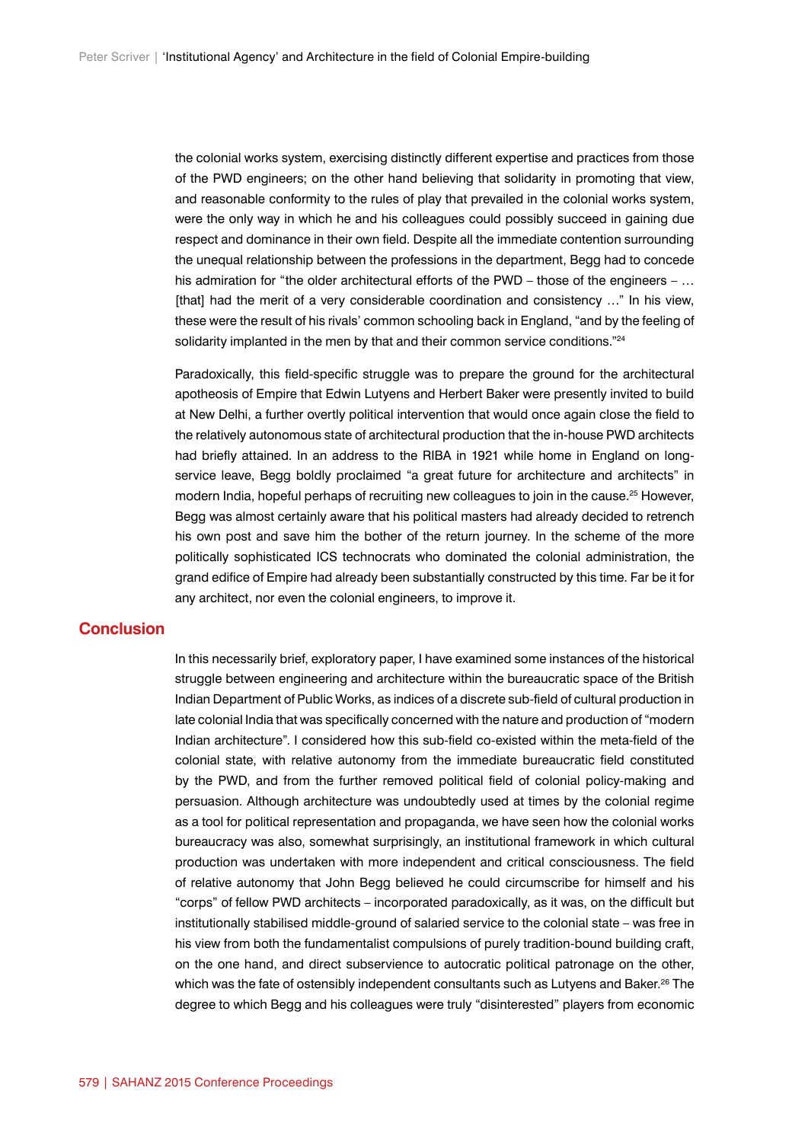the colonial works system, exercising distinctly different expertise and practices from those of the PWD engineers; on the other hand believing that solidarity in promoting that view, and reasonable conformity to the rules of play that prevailed in the colonial works system, were the only way in which he and his colleagues could possibly succeed in gaining due respect and dominance in their own field. Despite all the immediate contention surrounding the unequal relationship between the professions in the department, Begg had to concede his admiration for "the older architectural efforts of the PWD – those of the engineers – ... [that] had the merit of a very considerable coordination and consistency ..." In his view, these were the result of his rivals' common schooling back in England, "and by the feeling of solidarity implanted in the men by that and their common service conditions."<sup>24</sup>

Paradoxically, this field-specific struggle was to prepare the ground for the architectural apotheosis of Empire that Edwin Lutyens and Herbert Baker were presently invited to build at New Delhi, a further overtly political intervention that would once again close the field to the relatively autonomous state of architectural production that the in-house PWD architects had briefly attained. In an address to the RIBA in 1921 while home in England on longservice leave, Begg boldly proclaimed "a great future for architecture and architects" in modern India, hopeful perhaps of recruiting new colleagues to join in the cause.<sup>25</sup> However, Begg was almost certainly aware that his political masters had already decided to retrench his own post and save him the bother of the return journey. In the scheme of the more politically sophisticated ICS technocrats who dominated the colonial administration, the grand edifice of Empire had already been substantially constructed by this time. Far be it for any architect, nor even the colonial engineers, to improve it.

### **Conclusion**

In this necessarily brief, exploratory paper, I have examined some instances of the historical struggle between engineering and architecture within the bureaucratic space of the British Indian Department of Public Works, as indices of a discrete sub-field of cultural production in late colonial India that was specifically concerned with the nature and production of "modern Indian architecture". I considered how this sub-field co-existed within the meta-field of the colonial state, with relative autonomy from the immediate bureaucratic field constituted by the PWD, and from the further removed political field of colonial policy-making and persuasion. Although architecture was undoubtedly used at times by the colonial regime as a tool for political representation and propaganda, we have seen how the colonial works bureaucracy was also, somewhat surprisingly, an institutional framework in which cultural production was undertaken with more independent and critical consciousness. The field of relative autonomy that John Begg believed he could circumscribe for himself and his "corps" of fellow PWD architects – incorporated paradoxically, as it was, on the difficult but institutionally stabilised middle-ground of salaried service to the colonial state – was free in his view from both the fundamentalist compulsions of purely tradition-bound building craft, on the one hand, and direct subservience to autocratic political patronage on the other, which was the fate of ostensibly independent consultants such as Lutyens and Baker.<sup>26</sup> The degree to which Begg and his colleagues were truly "disinterested" players from economic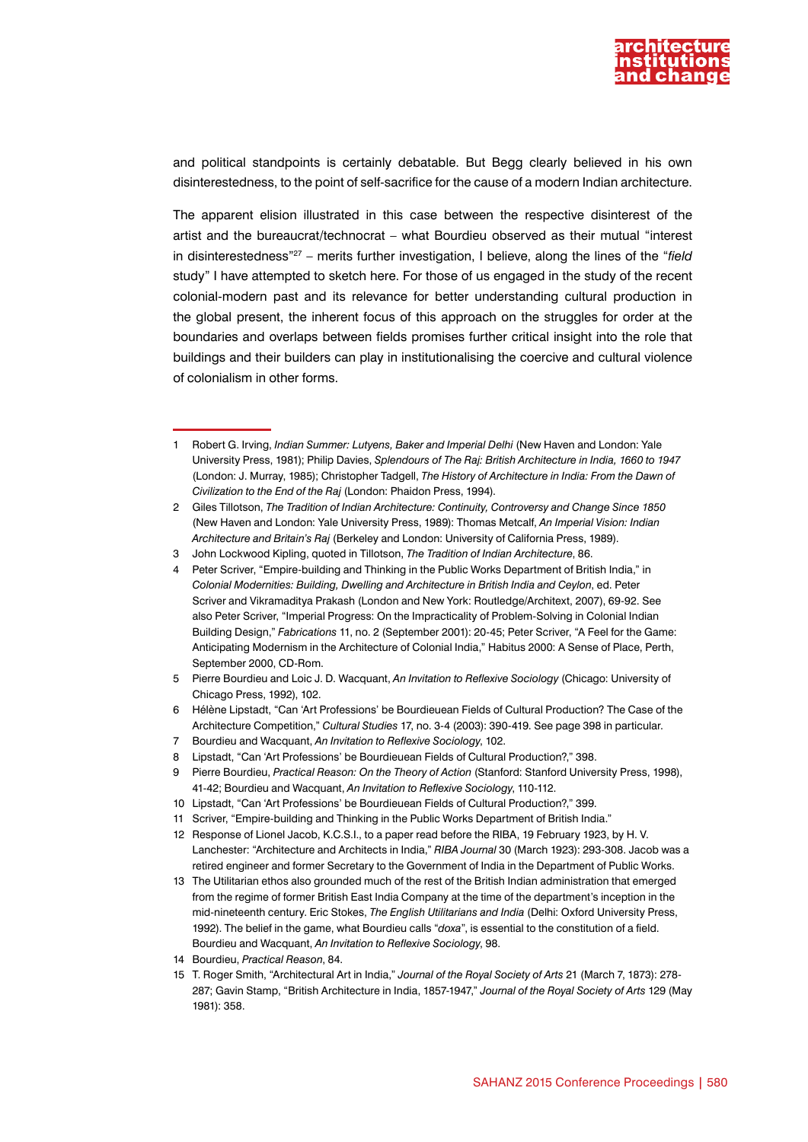

and political standpoints is certainly debatable. But Begg clearly believed in his own disinterestedness, to the point of self-sacrifice for the cause of a modern Indian architecture.

The apparent elision illustrated in this case between the respective disinterest of the artist and the bureaucrat/technocrat – what Bourdieu observed as their mutual "interest in disinterestedness"27 – merits further investigation, I believe, along the lines of the "*field* study" I have attempted to sketch here. For those of us engaged in the study of the recent colonial-modern past and its relevance for better understanding cultural production in the global present, the inherent focus of this approach on the struggles for order at the boundaries and overlaps between fields promises further critical insight into the role that buildings and their builders can play in institutionalising the coercive and cultural violence of colonialism in other forms.

10 Lipstadt, "Can 'Art Professions' be Bourdieuean Fields of Cultural Production?," 399.

<sup>1</sup> Robert G. Irving, *Indian Summer: Lutyens, Baker and Imperial Delhi* (New Haven and London: Yale University Press, 1981); Philip Davies, *Splendours of The Raj: British Architecture in India, 1660 to 1947* (London: J. Murray, 1985); Christopher Tadgell, *The History of Architecture in India: From the Dawn of Civilization to the End of the Raj* (London: Phaidon Press, 1994).

<sup>2</sup> Giles Tillotson, *The Tradition of Indian Architecture: Continuity, Controversy and Change Since 1850* (New Haven and London: Yale University Press, 1989): Thomas Metcalf, *An Imperial Vision: Indian Architecture and Britain's Raj* (Berkeley and London: University of California Press, 1989).

<sup>3</sup> John Lockwood Kipling, quoted in Tillotson, *The Tradition of Indian Architecture*, 86.

Peter Scriver, "Empire-building and Thinking in the Public Works Department of British India," in *Colonial Modernities: Building, Dwelling and Architecture in British India and Ceylon*, ed. Peter Scriver and Vikramaditya Prakash (London and New York: Routledge/Architext, 2007), 69-92. See also Peter Scriver, "Imperial Progress: On the Impracticality of Problem-Solving in Colonial Indian Building Design," *Fabrications* 11, no. 2 (September 2001): 20-45; Peter Scriver, "A Feel for the Game: Anticipating Modernism in the Architecture of Colonial India," Habitus 2000: A Sense of Place, Perth, September 2000, CD-Rom.

<sup>5</sup> Pierre Bourdieu and Loic J. D. Wacquant, *An Invitation to Reflexive Sociology* (Chicago: University of Chicago Press, 1992), 102.

<sup>6</sup> Hélène Lipstadt, "Can 'Art Professions' be Bourdieuean Fields of Cultural Production? The Case of the Architecture Competition," *Cultural Studies* 17, no. 3-4 (2003): 390-419. See page 398 in particular.

<sup>7</sup> Bourdieu and Wacquant, *An Invitation to Reflexive Sociology*, 102.

<sup>8</sup> Lipstadt, "Can 'Art Professions' be Bourdieuean Fields of Cultural Production?," 398.

<sup>9</sup> Pierre Bourdieu, *Practical Reason: On the Theory of Action* (Stanford: Stanford University Press, 1998), 41-42; Bourdieu and Wacquant, *An Invitation to Reflexive Sociology*, 110-112.

<sup>11</sup> Scriver, "Empire-building and Thinking in the Public Works Department of British India."

<sup>12</sup> Response of Lionel Jacob, K.C.S.I., to a paper read before the RIBA, 19 February 1923, by H. V. Lanchester: "Architecture and Architects in India," *RIBA Journal* 30 (March 1923): 293-308. Jacob was a retired engineer and former Secretary to the Government of India in the Department of Public Works.

<sup>13</sup> The Utilitarian ethos also grounded much of the rest of the British Indian administration that emerged from the regime of former British East India Company at the time of the department's inception in the mid-nineteenth century. Eric Stokes, *The English Utilitarians and India* (Delhi: Oxford University Press, 1992). The belief in the game, what Bourdieu calls "*doxa*", is essential to the constitution of a field. Bourdieu and Wacquant, *An Invitation to Reflexive Sociology*, 98.

<sup>14</sup> Bourdieu, *Practical Reason*, 84.

<sup>15</sup> T. Roger Smith, "Architectural Art in India," *Journal of the Royal Society of Arts* 21 (March 7, 1873): 278- 287; Gavin Stamp, "British Architecture in India, 1857-1947," *Journal of the Royal Society of Arts* 129 (May 1981): 358.